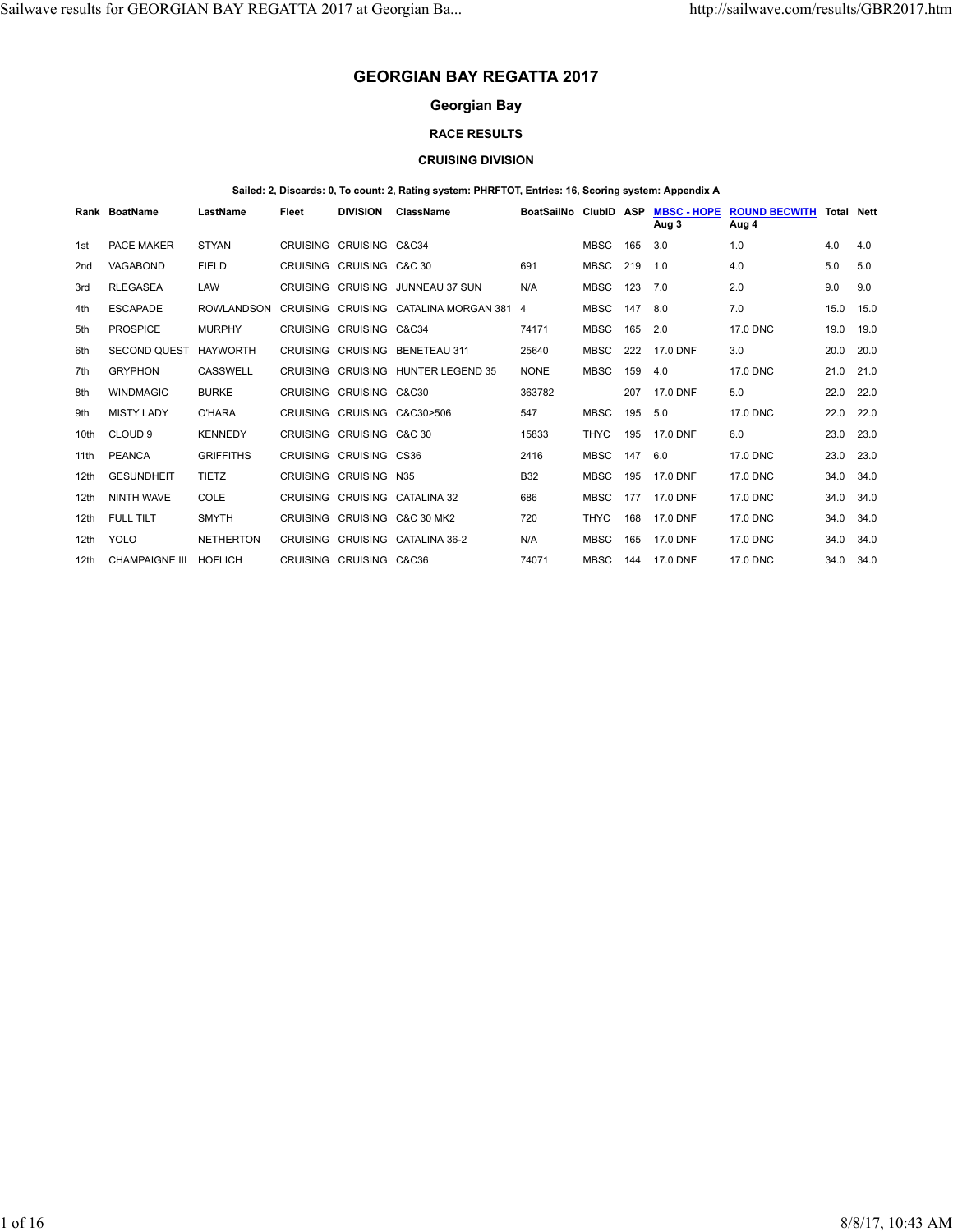# **GEORGIAN BAY REGATTA 2017**

# **Georgian Bay**

### **RACE RESULTS**

#### **CRUISING DIVISION**

#### **Sailed: 2, Discards: 0, To count: 2, Rating system: PHRFTOT, Entries: 16, Scoring system: Appendix A**

|                  | Rank BoatName         | LastName         | Fleet           | <b>DIVISION</b>          | <b>ClassName</b>                      | BoatSailNo  | <b>ClubID</b> | <b>ASP</b> | <b>MBSC - HOPE</b><br>Aug 3 | <b>ROUND BECWITH</b><br>Aug 4 | <b>Total Nett</b> |      |
|------------------|-----------------------|------------------|-----------------|--------------------------|---------------------------------------|-------------|---------------|------------|-----------------------------|-------------------------------|-------------------|------|
| 1st              | <b>PACE MAKER</b>     | <b>STYAN</b>     |                 | CRUISING CRUISING C&C34  |                                       |             | <b>MBSC</b>   | 165        | 3.0                         | 1.0                           | 4.0               | 4.0  |
| 2 <sub>nd</sub>  | <b>VAGABOND</b>       | <b>FIELD</b>     |                 | CRUISING CRUISING C&C 30 |                                       | 691         | <b>MBSC</b>   | 219        | 1.0                         | 4.0                           | 5.0               | 5.0  |
| 3rd              | <b>RLEGASEA</b>       | LAW              |                 | CRUISING CRUISING        | <b>JUNNEAU 37 SUN</b>                 | N/A         | <b>MBSC</b>   | 123        | 7.0                         | 2.0                           | 9.0               | 9.0  |
| 4th              | <b>ESCAPADE</b>       | ROWLANDSON       |                 |                          | CRUISING CRUISING CATALINA MORGAN 381 | 4           | <b>MBSC</b>   | 147        | 8.0                         | 7.0                           | 15.0              | 15.0 |
| 5th              | <b>PROSPICE</b>       | <b>MURPHY</b>    |                 | CRUISING CRUISING C&C34  |                                       | 74171       | <b>MBSC</b>   | 165        | 2.0                         | 17.0 DNC                      | 19.0              | 19.0 |
| 6th              | <b>SECOND QUEST</b>   | <b>HAYWORTH</b>  |                 |                          | CRUISING CRUISING BENETEAU 311        | 25640       | <b>MBSC</b>   | 222        | 17.0 DNF                    | 3.0                           | 20.0              | 20.0 |
| 7th              | <b>GRYPHON</b>        | CASSWELL         | <b>CRUISING</b> |                          | CRUISING HUNTER LEGEND 35             | <b>NONE</b> | <b>MBSC</b>   | 159        | 4.0                         | 17.0 DNC                      | 21.0              | 21.0 |
| 8th              | <b>WINDMAGIC</b>      | <b>BURKE</b>     |                 | CRUISING CRUISING C&C30  |                                       | 363782      |               | 207        | 17.0 DNF                    | 5.0                           | 22.0              | 22.0 |
| 9th              | <b>MISTY LADY</b>     | O'HARA           |                 |                          | CRUISING CRUISING C&C30>506           | 547         | <b>MBSC</b>   | 195        | 5.0                         | 17.0 DNC                      | 22.0              | 22.0 |
| 10th             | CLOUD <sub>9</sub>    | <b>KENNEDY</b>   |                 | CRUISING CRUISING C&C 30 |                                       | 15833       | <b>THYC</b>   | 195        | 17.0 DNF                    | 6.0                           | 23.0              | 23.0 |
| 11th             | <b>PEANCA</b>         | <b>GRIFFITHS</b> |                 | CRUISING CRUISING CS36   |                                       | 2416        | <b>MBSC</b>   | 147        | 6.0                         | 17.0 DNC                      | 23.0              | 23.0 |
| 12th             | <b>GESUNDHEIT</b>     | <b>TIETZ</b>     |                 | CRUISING CRUISING N35    |                                       | <b>B32</b>  | <b>MBSC</b>   | 195        | 17.0 DNF                    | 17.0 DNC                      | 34.0              | 34.0 |
| 12th             | <b>NINTH WAVE</b>     | COLE             | CRUISING        |                          | CRUISING CATALINA 32                  | 686         | <b>MBSC</b>   | 177        | 17.0 DNF                    | 17.0 DNC                      | 34.0              | 34.0 |
| 12 <sub>th</sub> | FULL TILT             | <b>SMYTH</b>     |                 |                          | CRUISING CRUISING C&C 30 MK2          | 720         | <b>THYC</b>   | 168        | 17.0 DNF                    | 17.0 DNC                      | 34.0              | 34.0 |
| 12th             | <b>YOLO</b>           | <b>NETHERTON</b> |                 |                          | CRUISING CRUISING CATALINA 36-2       | N/A         | <b>MBSC</b>   | 165        | 17.0 DNF                    | 17.0 DNC                      | 34.0              | 34.0 |
| 12th             | <b>CHAMPAIGNE III</b> | <b>HOFLICH</b>   |                 | CRUISING CRUISING C&C36  |                                       | 74071       | <b>MBSC</b>   | 144        | 17.0 DNF                    | 17.0 DNC                      | 34.0              | 34.0 |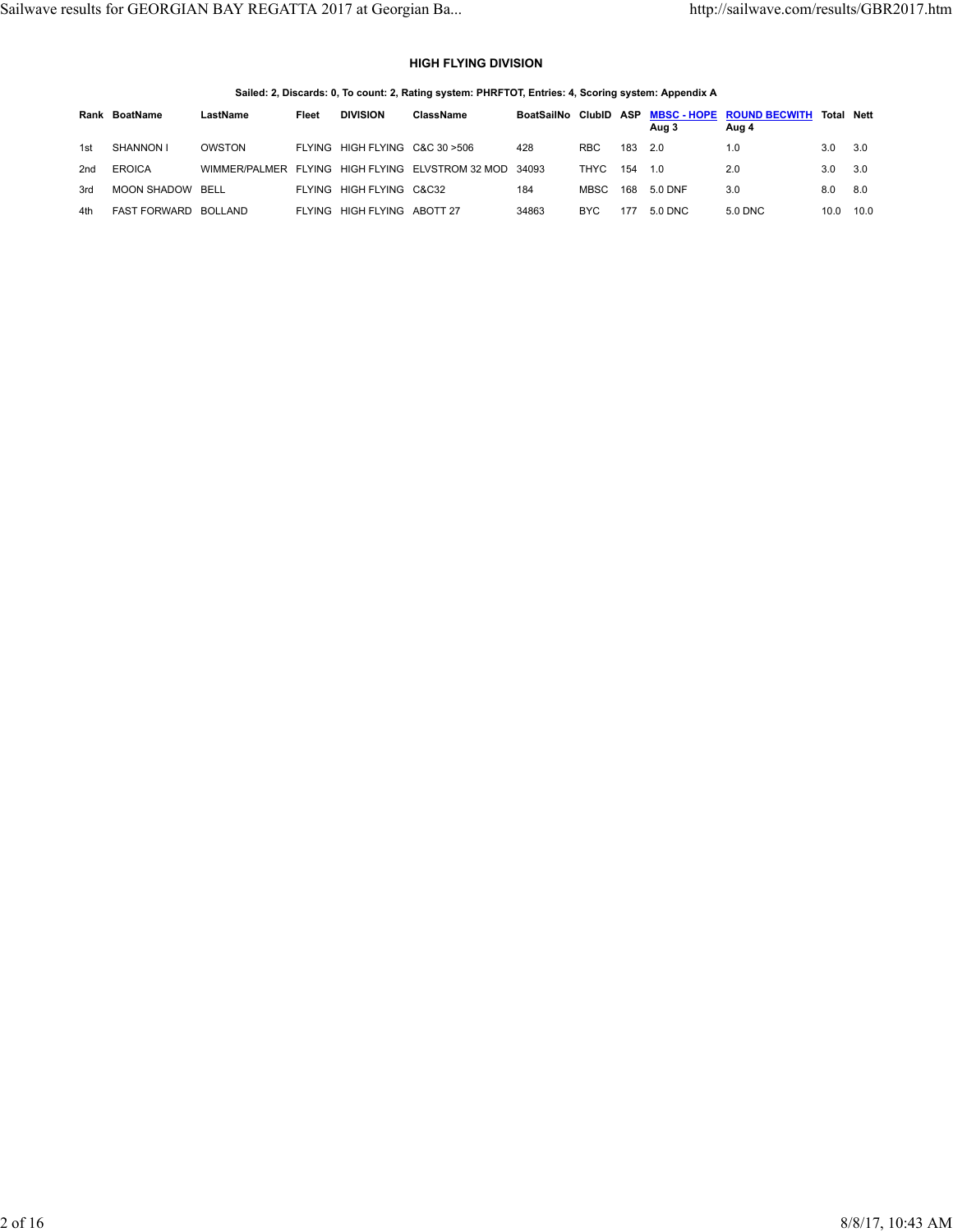## **HIGH FLYING DIVISION**

| Sailed: 2, Discards: 0, To count: 2, Rating system: PHRFTOT, Entries: 4, Scoring system: Appendix A |  |  |  |
|-----------------------------------------------------------------------------------------------------|--|--|--|
|                                                                                                     |  |  |  |

|     | Rank BoatName        | LastName | Fleet | <b>DIVISION</b>                 | ClassName                                              | BoatSailNo ClubID ASP |             |     | Aug 3   | MBSC-HOPE ROUND BECWITH Total Nett<br>Aug 4 |      |      |
|-----|----------------------|----------|-------|---------------------------------|--------------------------------------------------------|-----------------------|-------------|-----|---------|---------------------------------------------|------|------|
| 1st | SHANNON I            | OWSTON   |       | FLYING HIGH FLYING C&C 30 > 506 |                                                        | 428                   | RBC.        | 183 | 2.0     | 1.0                                         | 3.0  | 3.0  |
| 2nd | <b>EROICA</b>        |          |       |                                 | WIMMER/PALMER FLYING HIGH FLYING ELVSTROM 32 MOD 34093 |                       | THYC        | 154 | 1.0     | 2.0                                         | 3.0  | 3.0  |
| 3rd | MOON SHADOW BELL     |          |       | FLYING HIGH FLYING C&C32        |                                                        | 184                   | <b>MBSC</b> | 168 | 5.0 DNF | 3.0                                         | 8.0  | 8.0  |
| 4th | FAST FORWARD BOLLAND |          |       | FLYING HIGH FLYING ABOTT 27     |                                                        | 34863                 | BYC.        | 177 | 5.0 DNC | 5.0 DNC                                     | 10.0 | 10.0 |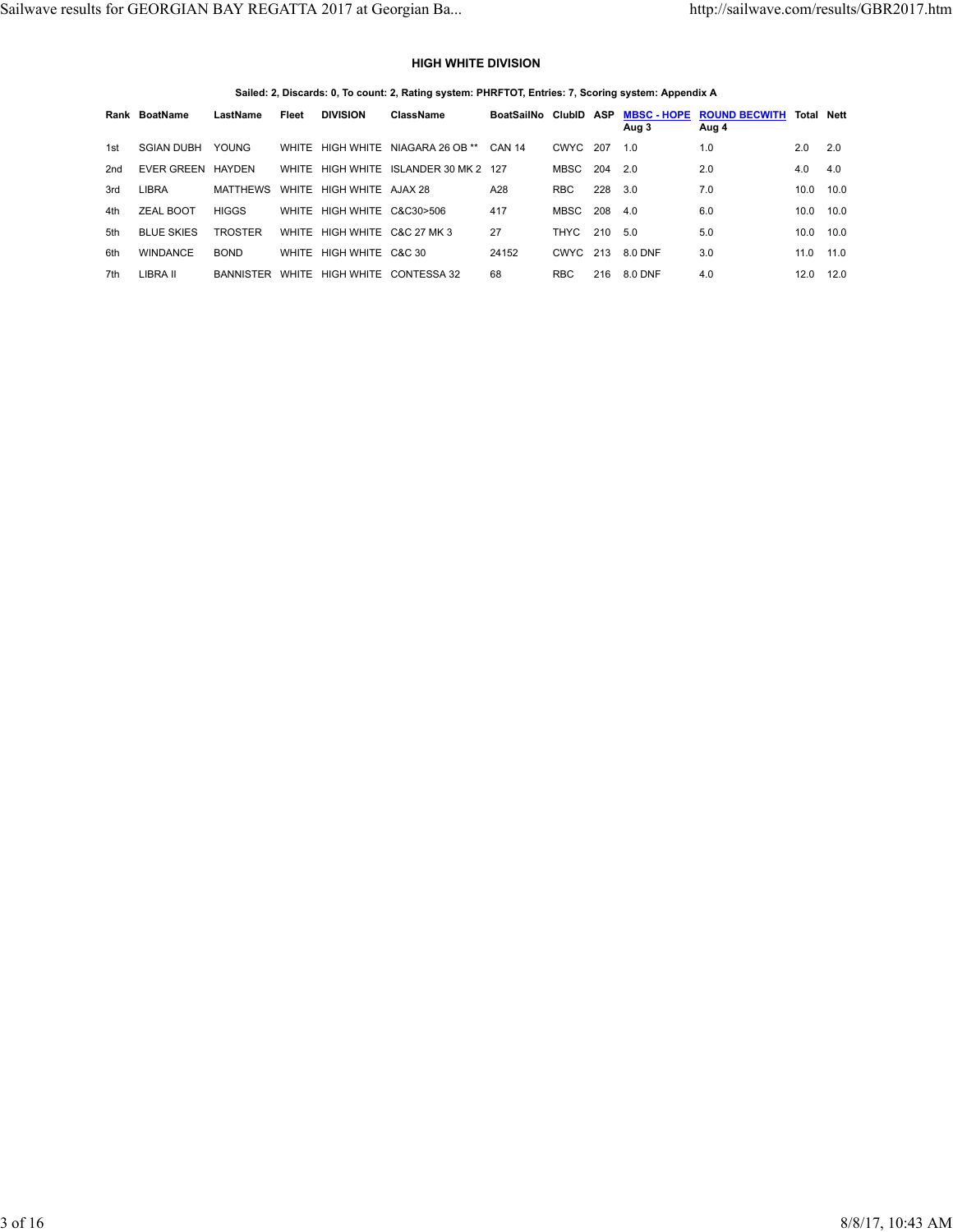### **HIGH WHITE DIVISION**

**Sailed: 2, Discards: 0, To count: 2, Rating system: PHRFTOT, Entries: 7, Scoring system: Appendix A**

|     | Rank BoatName     | LastName         | Fleet | <b>DIVISION</b>              | ClassName                             | BoatSailNo ClubID ASP |             |     | <b>MBSC - HOPE</b><br>Aug 3 | <b>ROUND BECWITH</b><br>Aug 4 |      | <b>Total Nett</b> |
|-----|-------------------|------------------|-------|------------------------------|---------------------------------------|-----------------------|-------------|-----|-----------------------------|-------------------------------|------|-------------------|
| 1st | <b>SGIAN DUBH</b> | <b>YOUNG</b>     |       |                              | WHITE HIGH WHITE NIAGARA 26 OB **     | <b>CAN 14</b>         | CWYC        | 207 | 1.0                         | 1.0                           | 2.0  | 2.0               |
| 2nd | EVER GREEN        | HAYDEN           |       |                              | WHITE HIGH WHITE ISLANDER 30 MK 2 127 |                       | MBSC        | 204 | 2.0                         | 2.0                           | 4.0  | 4.0               |
| 3rd | LIBRA             | <b>MATTHEWS</b>  |       | WHITE HIGH WHITE AJAX 28     |                                       | A28                   | <b>RBC</b>  | 228 | 3.0                         | 7.0                           | 10.0 | 10.0              |
| 4th | ZEAL BOOT         | <b>HIGGS</b>     |       | WHITE HIGH WHITE C&C30>506   |                                       | 417                   | MBSC        | 208 | 4.0                         | 6.0                           | 10.0 | 10.0              |
| 5th | <b>BLUE SKIES</b> | <b>TROSTER</b>   |       | WHITE HIGH WHITE C&C 27 MK 3 |                                       | 27                    | <b>THYC</b> | 210 | 5.0                         | 5.0                           | 10.0 | 10.0              |
| 6th | <b>WINDANCE</b>   | <b>BOND</b>      |       | WHITE HIGH WHITE C&C 30      |                                       | 24152                 | CWYC        | 213 | 8.0 DNF                     | 3.0                           | 11.0 | 11.0              |
| 7th | LIBRA II          | <b>BANNISTER</b> |       |                              | WHITE HIGH WHITE CONTESSA 32          | 68                    | <b>RBC</b>  | 216 | 8.0 DNF                     | 4.0                           | 12.0 | 12.0              |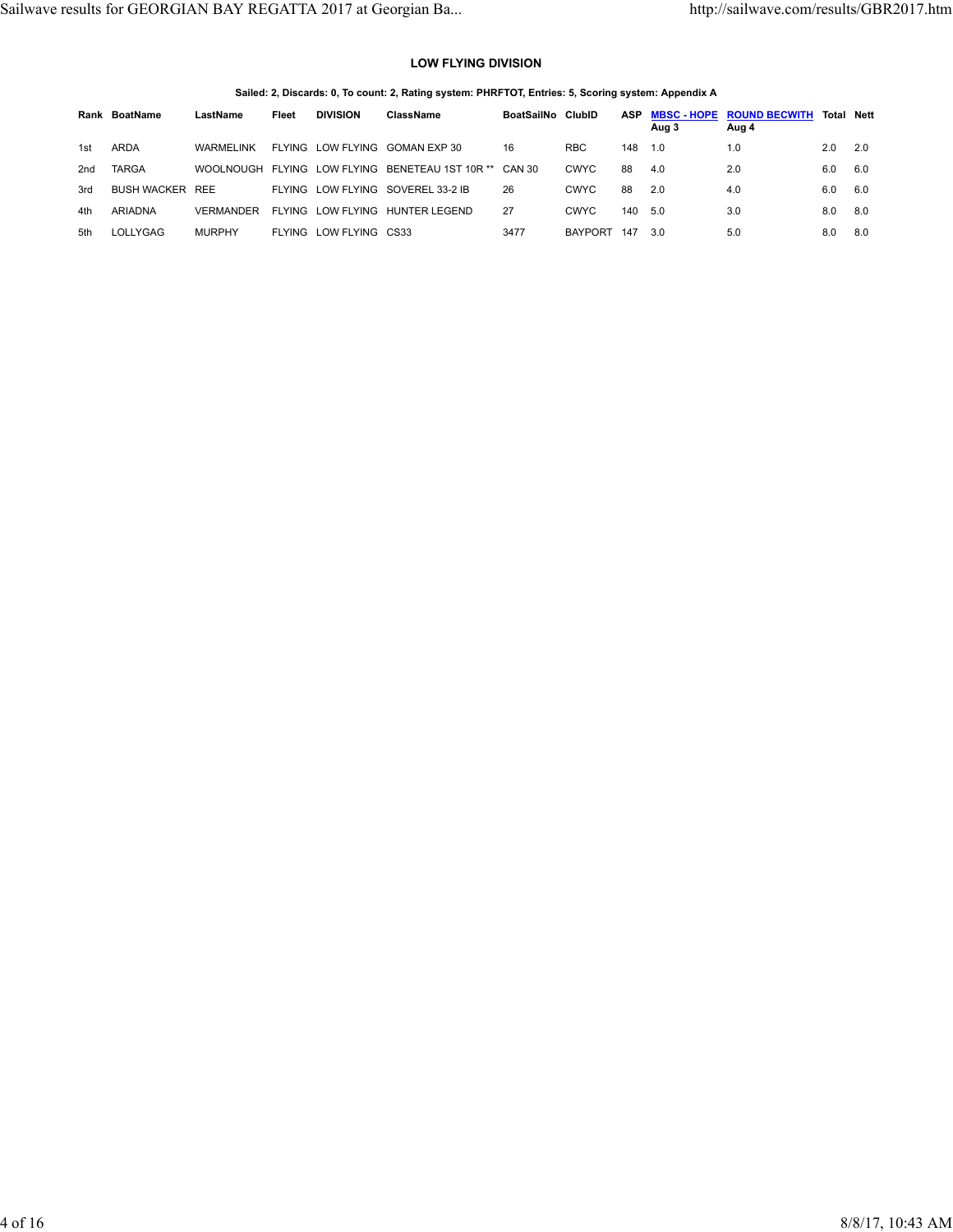### **LOW FLYING DIVISION**

**Sailed: 2, Discards: 0, To count: 2, Rating system: PHRFTOT, Entries: 5, Scoring system: Appendix A**

|     | Rank BoatName          | LastName      | Fleet  | <b>DIVISION</b> | ClassName                                              | BoatSailNo ClubID |                | ASP | Aug 3 | <b>MBSC-HOPE ROUND BECWITH</b><br>Aug 4 | <b>Total Nett</b> |     |
|-----|------------------------|---------------|--------|-----------------|--------------------------------------------------------|-------------------|----------------|-----|-------|-----------------------------------------|-------------------|-----|
| 1st | <b>ARDA</b>            | WARMELINK     | FLYING |                 | LOW FLYING GOMAN EXP 30                                | 16                | <b>RBC</b>     | 148 | 1.0   | 1.0                                     | 2.0               | 2.0 |
| 2nd | <b>TARGA</b>           |               |        |                 | WOOLNOUGH FLYING LOW FLYING BENETEAU 1ST 10R ** CAN 30 |                   | <b>CWYC</b>    | 88  | 4.0   | 2.0                                     | 6.0               | 6.0 |
| 3rd | <b>BUSH WACKER REE</b> |               |        |                 | FLYING LOW FLYING SOVEREL 33-2 IB                      | 26                | <b>CWYC</b>    | 88  | 2.0   | 4.0                                     | 6.0               | 6.0 |
| 4th | <b>ARIADNA</b>         | VERMANDER     | FLYING |                 | LOW FLYING HUNTER LEGEND                               | 27                | <b>CWYC</b>    | 140 | 5.0   | 3.0                                     | 8.0               | 8.0 |
| 5th | LOLLYGAG               | <b>MURPHY</b> | FLYING | LOW FLYING CS33 |                                                        | 3477              | <b>BAYPORT</b> | 147 | 3.0   | 5.0                                     | 8.0               | 8.0 |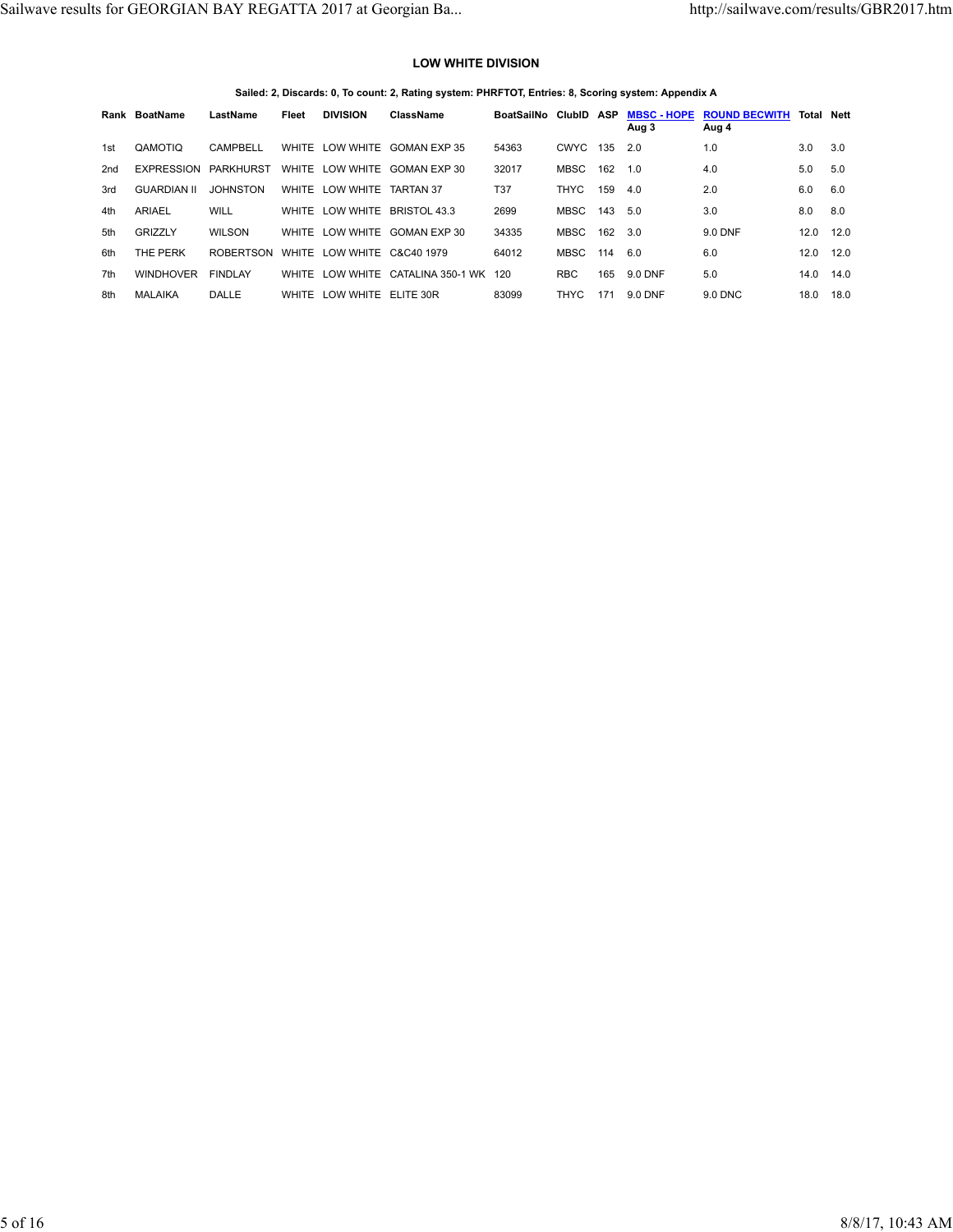### **LOW WHITE DIVISION**

**Sailed: 2, Discards: 0, To count: 2, Rating system: PHRFTOT, Entries: 8, Scoring system: Appendix A**

|                 | Rank BoatName      | LastName         | Fleet | <b>DIVISION</b>            | ClassName                             | BoatSailNo ClubID ASP |             |     | <b>MBSC - HOPE</b><br>Aug 3 | <b>ROUND BECWITH</b><br>Aug 4 | <b>Total Nett</b> |      |
|-----------------|--------------------|------------------|-------|----------------------------|---------------------------------------|-----------------------|-------------|-----|-----------------------------|-------------------------------|-------------------|------|
| 1st             | QAMOTIO            | CAMPBELL         |       |                            | WHITE LOW WHITE GOMAN EXP 35          | 54363                 | <b>CWYC</b> | 135 | 2.0                         | 1.0                           | 3.0               | 3.0  |
| 2 <sub>nd</sub> | EXPRESSION         | PARKHURST        |       |                            | WHITE LOW WHITE GOMAN EXP 30          | 32017                 | MBSC        | 162 | 1.0                         | 4.0                           | 5.0               | 5.0  |
| 3rd             | <b>GUARDIAN II</b> | <b>JOHNSTON</b>  |       | WHITE LOW WHITE TARTAN 37  |                                       | <b>T37</b>            | THYC        | 159 | 4.0                         | 2.0                           | 6.0               | 6.0  |
| 4th             | ARIAEL             | <b>WILL</b>      |       |                            | WHITE LOW WHITE BRISTOL 43.3          | 2699                  | MBSC        | 143 | 5.0                         | 3.0                           | 8.0               | 8.0  |
| 5th             | GRIZZLY            | <b>WILSON</b>    |       |                            | WHITE LOW WHITE GOMAN EXP 30          | 34335                 | <b>MBSC</b> | 162 | 3.0                         | 9.0 DNF                       | 12.0              | 12.0 |
| 6th             | THE PERK           | <b>ROBERTSON</b> |       | WHITE LOW WHITE C&C40 1979 |                                       | 64012                 | MBSC        | 114 | 6.0                         | 6.0                           | 12.0              | 12.0 |
| 7th             | <b>WINDHOVER</b>   | <b>FINDLAY</b>   |       |                            | WHITE LOW WHITE CATALINA 350-1 WK 120 |                       | <b>RBC</b>  | 165 | 9.0 DNF                     | 5.0                           | 14.0              | 14.0 |
| 8th             | <b>MALAIKA</b>     | DALLE            |       | WHITE LOW WHITE ELITE 30R  |                                       | 83099                 | <b>THYC</b> | 171 | 9.0 DNF                     | 9.0 DNC                       | 18.0              | 18.0 |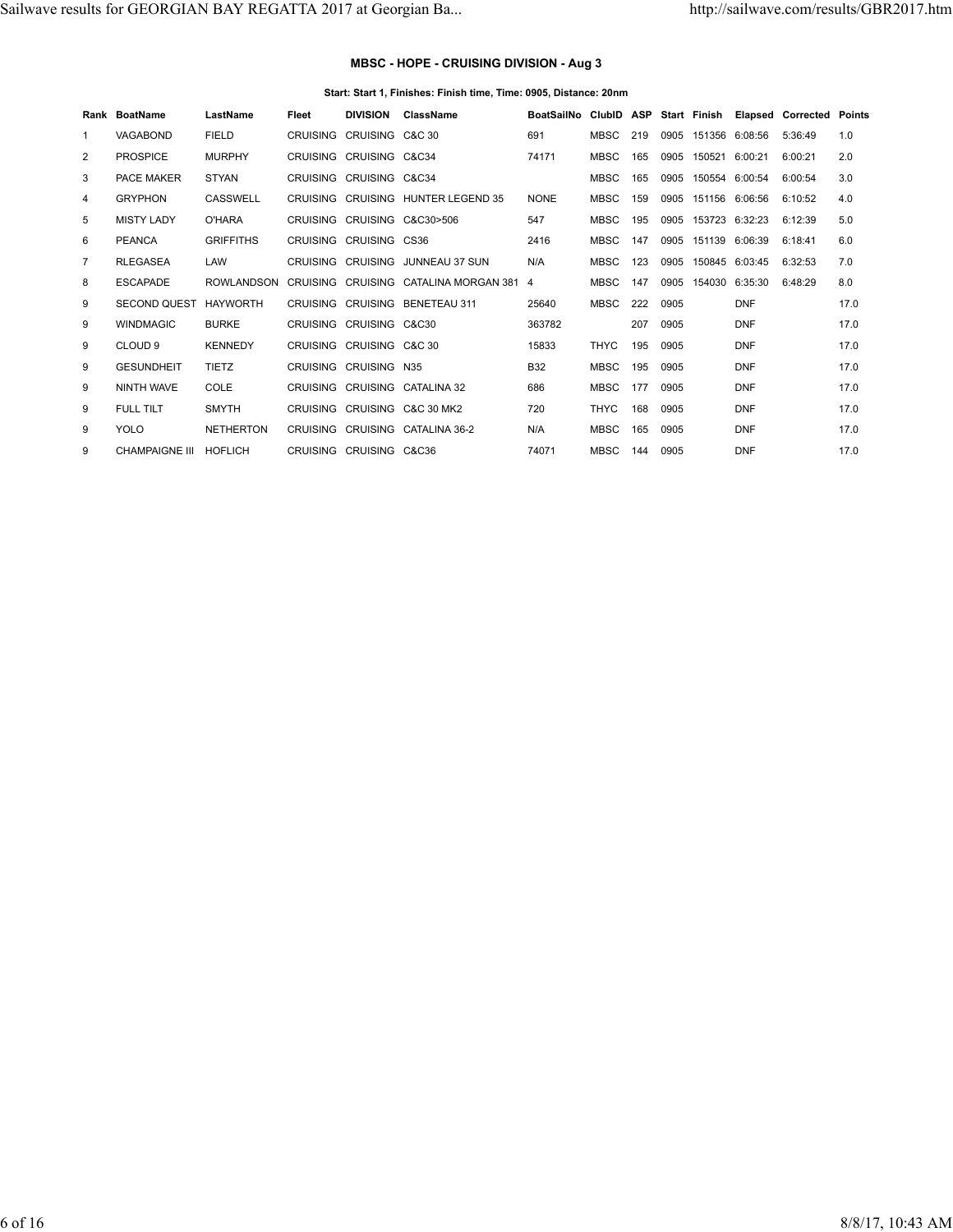## **MBSC - HOPE - CRUISING DIVISION - Aug 3**

#### **Start: Start 1, Finishes: Finish time, Time: 0905, Distance: 20nm**

|                | Rank BoatName         | LastName          | Fleet    | <b>DIVISION</b>          | ClassName                               | BoatSailNo ClubID ASP Start Finish |             |     |      |                     |                     | <b>Elapsed Corrected Points</b> |      |
|----------------|-----------------------|-------------------|----------|--------------------------|-----------------------------------------|------------------------------------|-------------|-----|------|---------------------|---------------------|---------------------------------|------|
| $\mathbf{1}$   | <b>VAGABOND</b>       | <b>FIELD</b>      |          | CRUISING CRUISING C&C 30 |                                         | 691                                | MBSC        | 219 | 0905 |                     | 151356 6:08:56      | 5:36:49                         | 1.0  |
| 2              | <b>PROSPICE</b>       | <b>MURPHY</b>     |          | CRUISING CRUISING C&C34  |                                         | 74171                              | <b>MBSC</b> | 165 | 0905 | 150521 6:00:21      |                     | 6:00:21                         | 2.0  |
| 3              | <b>PACE MAKER</b>     | <b>STYAN</b>      |          | CRUISING CRUISING C&C34  |                                         |                                    | <b>MBSC</b> | 165 | 0905 |                     | 150554 6:00:54      | 6:00:54                         | 3.0  |
| 4              | <b>GRYPHON</b>        | CASSWELL          |          |                          | CRUISING CRUISING HUNTER LEGEND 35      | <b>NONE</b>                        | <b>MBSC</b> | 159 |      | 0905 151156 6:06:56 |                     | 6:10:52                         | 4.0  |
| 5              | <b>MISTY LADY</b>     | O'HARA            |          |                          | CRUISING CRUISING C&C30>506             | 547                                | <b>MBSC</b> | 195 | 0905 |                     | 153723 6:32:23      | 6:12:39                         | 5.0  |
| 6              | <b>PEANCA</b>         | <b>GRIFFITHS</b>  |          | CRUISING CRUISING CS36   |                                         | 2416                               | <b>MBSC</b> | 147 | 0905 |                     | 151139 6:06:39      | 6:18:41                         | 6.0  |
| $\overline{7}$ | <b>RLEGASEA</b>       | LAW               |          |                          | CRUISING CRUISING JUNNEAU 37 SUN        | N/A                                | <b>MBSC</b> | 123 | 0905 |                     | 150845 6:03:45      | 6:32:53                         | 7.0  |
| 8              | <b>ESCAPADE</b>       | <b>ROWLANDSON</b> |          |                          | CRUISING CRUISING CATALINA MORGAN 381 4 |                                    | <b>MBSC</b> | 147 |      |                     | 0905 154030 6:35:30 | 6:48:29                         | 8.0  |
| 9              | <b>SECOND QUEST</b>   | <b>HAYWORTH</b>   |          |                          | CRUISING CRUISING BENETEAU 311          | 25640                              | MBSC        | 222 | 0905 |                     | <b>DNF</b>          |                                 | 17.0 |
| 9              | <b>WINDMAGIC</b>      | <b>BURKE</b>      |          | CRUISING CRUISING C&C30  |                                         | 363782                             |             | 207 | 0905 |                     | <b>DNF</b>          |                                 | 17.0 |
| 9              | CLOUD <sub>9</sub>    | <b>KENNEDY</b>    |          | CRUISING CRUISING C&C 30 |                                         | 15833                              | <b>THYC</b> | 195 | 0905 |                     | <b>DNF</b>          |                                 | 17.0 |
| 9              | <b>GESUNDHEIT</b>     | <b>TIETZ</b>      |          | CRUISING CRUISING N35    |                                         | <b>B32</b>                         | <b>MBSC</b> | 195 | 0905 |                     | <b>DNF</b>          |                                 | 17.0 |
| 9              | NINTH WAVE            | COLE              |          |                          | CRUISING CRUISING CATALINA 32           | 686                                | <b>MBSC</b> | 177 | 0905 |                     | <b>DNF</b>          |                                 | 17.0 |
| 9              | <b>FULL TILT</b>      | <b>SMYTH</b>      |          |                          | CRUISING CRUISING C&C 30 MK2            | 720                                | <b>THYC</b> | 168 | 0905 |                     | <b>DNF</b>          |                                 | 17.0 |
| 9              | YOLO                  | <b>NETHERTON</b>  | CRUISING |                          | CRUISING CATALINA 36-2                  | N/A                                | <b>MBSC</b> | 165 | 0905 |                     | <b>DNF</b>          |                                 | 17.0 |
| 9              | <b>CHAMPAIGNE III</b> | <b>HOFLICH</b>    |          | CRUISING CRUISING C&C36  |                                         | 74071                              | <b>MBSC</b> | 144 | 0905 |                     | <b>DNF</b>          |                                 | 17.0 |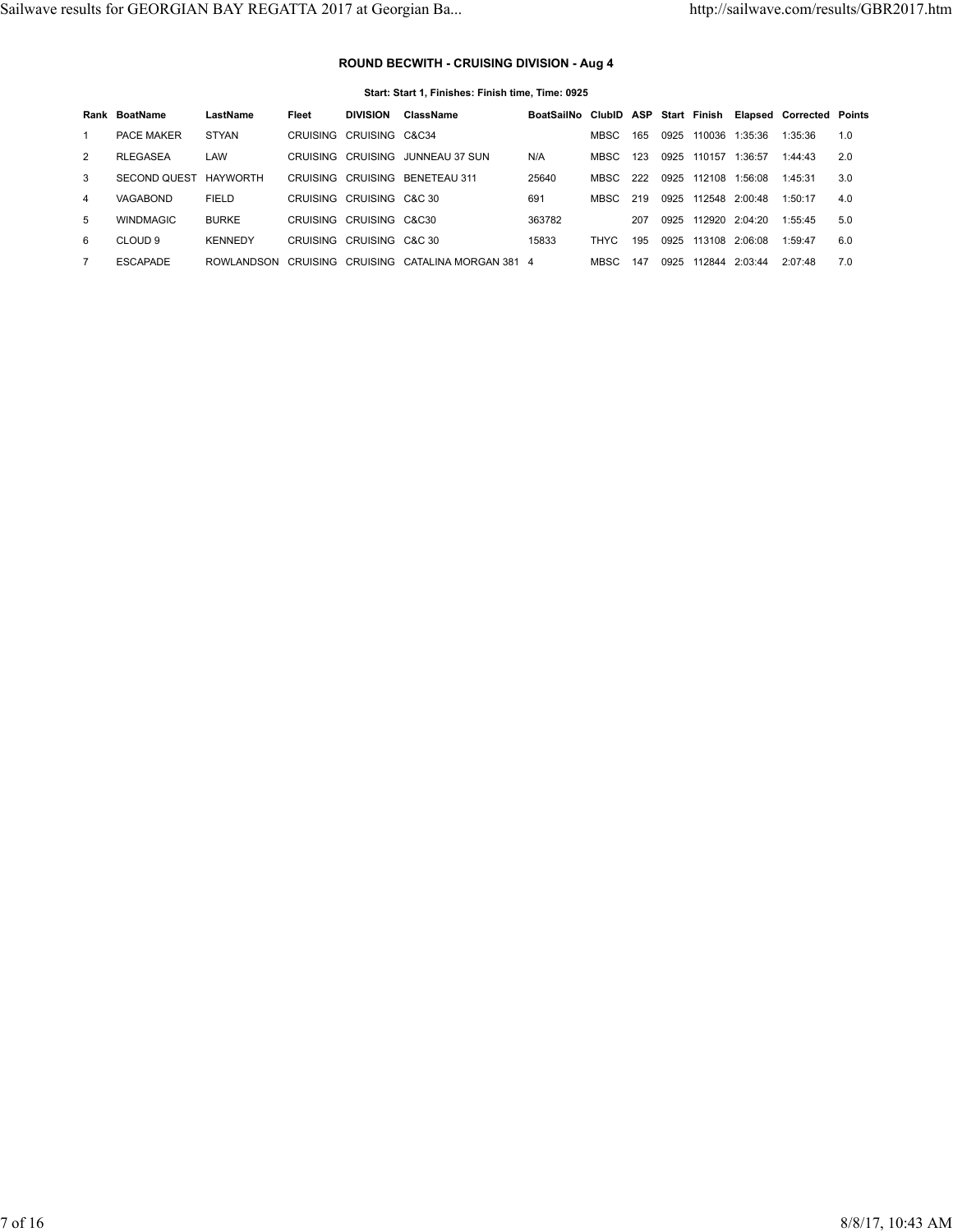# **ROUND BECWITH - CRUISING DIVISION - Aug 4**

| Start: Start 1, Finishes: Finish time, Time: 0925 |  |
|---------------------------------------------------|--|
|---------------------------------------------------|--|

|    | Rank BoatName       | LastName        | Fleet | <b>DIVISION</b>          | ClassName                               | BoatSailNo ClubID ASP Start Finish Elapsed Corrected Points |       |     |      |        |                |         |     |
|----|---------------------|-----------------|-------|--------------------------|-----------------------------------------|-------------------------------------------------------------|-------|-----|------|--------|----------------|---------|-----|
|    | <b>PACE MAKER</b>   | <b>STYAN</b>    |       | CRUISING CRUISING C&C34  |                                         |                                                             | MBSC. | 165 | 0925 | 110036 | 1:35:36        | 1:35:36 | 1.0 |
| 2  | <b>RLEGASEA</b>     | LAW             |       |                          | CRUISING CRUISING JUNNEAU 37 SUN        | N/A                                                         | MBSC  | 123 | 0925 | 110157 | 1:36:57        | 1:44:43 | 2.0 |
| 3  | <b>SECOND QUEST</b> | <b>HAYWORTH</b> |       |                          | CRUISING CRUISING BENETEAU 311          | 25640                                                       | MBSC. | 222 | 0925 | 112108 | 1:56:08        | 1:45:31 | 3.0 |
| 4  | VAGABOND            | <b>FIELD</b>    |       | CRUISING CRUISING C&C 30 |                                         | 691                                                         | MBSC. | 219 | 0925 |        | 112548 2:00:48 | 1:50:17 | 4.0 |
| 5. | <b>WINDMAGIC</b>    | <b>BURKE</b>    |       | CRUISING CRUISING C&C30  |                                         | 363782                                                      |       | 207 | 0925 |        | 112920 2:04:20 | 1:55:45 | 5.0 |
| 6  | CLOUD <sub>9</sub>  | <b>KENNEDY</b>  |       | CRUISING CRUISING C&C 30 |                                         | 15833                                                       | THYC  | 195 | 0925 |        | 113108 2:06:08 | 1:59:47 | 6.0 |
|    | <b>ESCAPADE</b>     | ROWLANDSON      |       |                          | CRUISING CRUISING CATALINA MORGAN 381 4 |                                                             | MBSC. | 147 | 0925 | 112844 | 2.03.44        | 2.07.48 | 7.0 |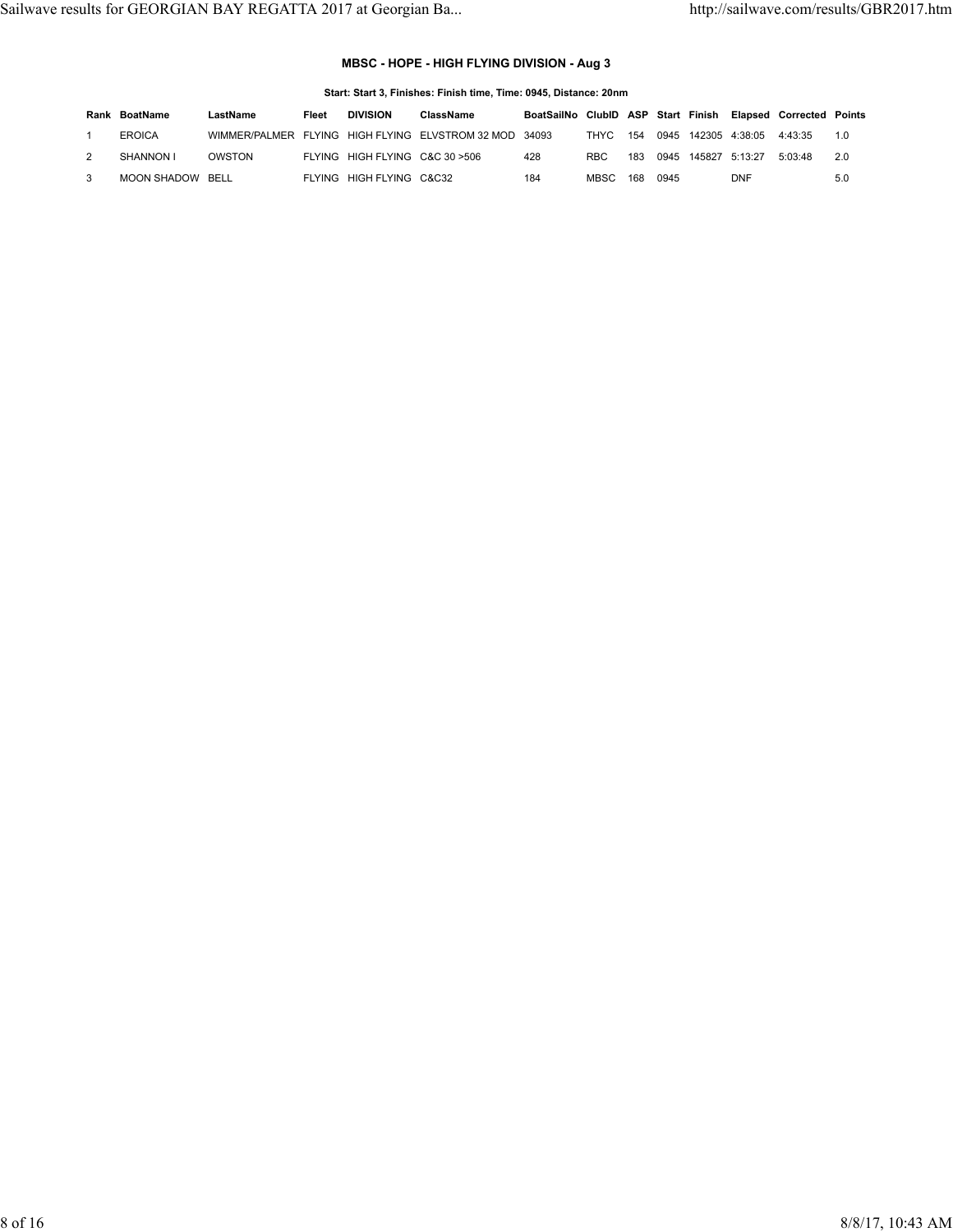## **MBSC - HOPE - HIGH FLYING DIVISION - Aug 3**

#### **Start: Start 3, Finishes: Finish time, Time: 0945, Distance: 20nm**

| Rank | BoatName         | LastName | Fleet | <b>DIVISION</b>                 | ClassName                                              | BoatSailNo ClubID ASP Start Finish Elapsed Corrected |      |     |      |                     |                                 |         | Points |
|------|------------------|----------|-------|---------------------------------|--------------------------------------------------------|------------------------------------------------------|------|-----|------|---------------------|---------------------------------|---------|--------|
|      | <b>EROICA</b>    |          |       |                                 | WIMMER/PALMER FLYING HIGH FLYING ELVSTROM 32 MOD 34093 |                                                      | THYC |     |      |                     | 154 0945 142305 4:38:05 4:43:35 |         | 1 ∩    |
|      | SHANNON I        | OWSTON   |       | FLYING HIGH FLYING C&C 30 > 506 |                                                        | 428                                                  | RBC. | 183 |      | 0945 145827 5:13:27 |                                 | 5.03.48 | 2 O    |
|      | MOON SHADOW BELL |          |       | FLYING HIGH FLYING C&C32        |                                                        | 184                                                  | MBSC | 168 | 0945 |                     | <b>DNF</b>                      |         | 5.0    |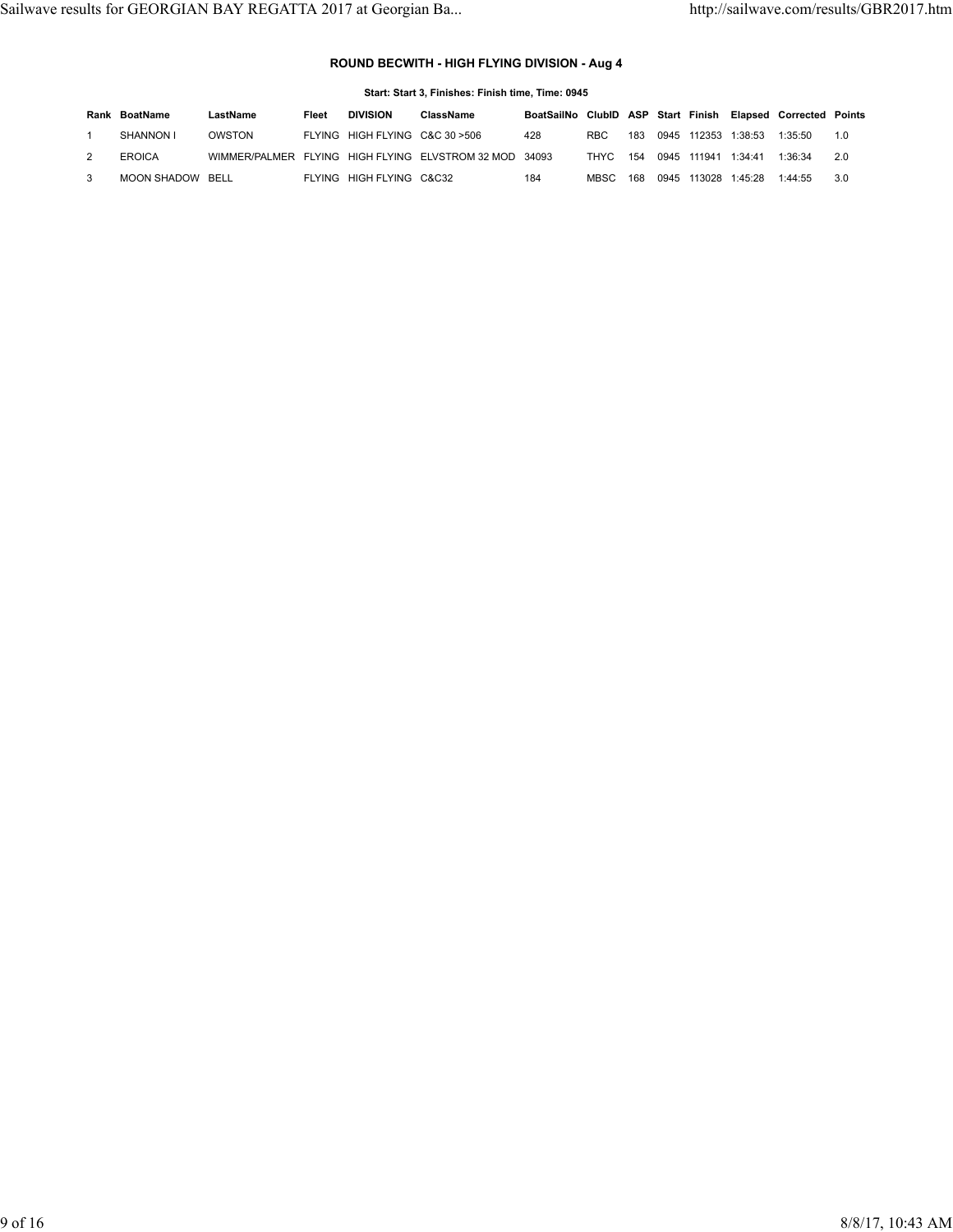## **ROUND BECWITH - HIGH FLYING DIVISION - Aug 4**

| Start: Start 3, Finishes: Finish time, Time: 0945 |                  |          |       |                                 |                                                        |                                                             |             |     |      |        |         |         |     |
|---------------------------------------------------|------------------|----------|-------|---------------------------------|--------------------------------------------------------|-------------------------------------------------------------|-------------|-----|------|--------|---------|---------|-----|
|                                                   | Rank BoatName    | LastName | Fleet | <b>DIVISION</b>                 | ClassName                                              | BoatSailNo ClubID ASP Start Finish Elapsed Corrected Points |             |     |      |        |         |         |     |
|                                                   | SHANNON I        | OWSTON   |       | FLYING HIGH FLYING C&C 30 > 506 |                                                        | 428                                                         | RBC.        | 183 | 0945 | 112353 | 1:38:53 | 1:35:50 | 1.0 |
| 2                                                 | <b>EROICA</b>    |          |       |                                 | WIMMER/PALMER FLYING HIGH FLYING ELVSTROM 32 MOD 34093 |                                                             | THYC        | 154 | 0945 | 111941 | 1:34:41 | 1:36:34 | 2.0 |
| 3                                                 | MOON SHADOW BELL |          |       | FLYING HIGH FLYING C&C32        |                                                        | 184                                                         | <b>MBSC</b> | 168 | 0945 | 113028 | 1:45:28 | 1:44:55 | 3.0 |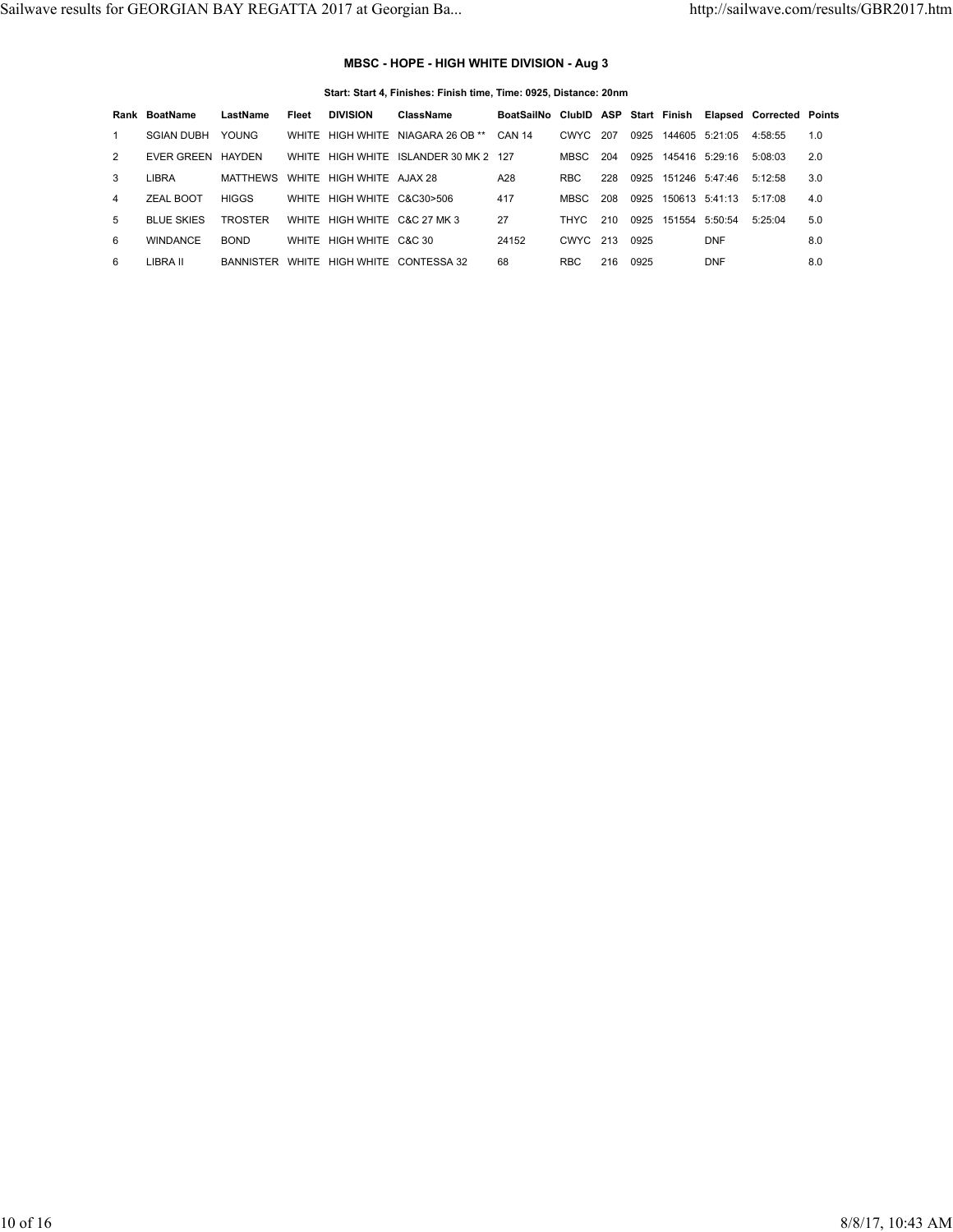## **MBSC - HOPE - HIGH WHITE DIVISION - Aug 3**

#### **Start: Start 4, Finishes: Finish time, Time: 0925, Distance: 20nm**

|   | Rank BoatName     | LastName       | Fleet | <b>DIVISION</b>                   | ClassName                              | BoatSailNo ClubID ASP Start Finish Elapsed Corrected Points |            |     |      |                |                     |         |     |
|---|-------------------|----------------|-------|-----------------------------------|----------------------------------------|-------------------------------------------------------------|------------|-----|------|----------------|---------------------|---------|-----|
|   | <b>SGIAN DUBH</b> | <b>YOUNG</b>   |       |                                   | WHITE HIGH WHITE NIAGARA 26 OB **      | <b>CAN 14</b>                                               | CWYC 207   |     | 0925 | 144605 5:21:05 |                     | 4:58:55 | 1.0 |
| 2 | EVER GREEN HAYDEN |                |       |                                   | WHITE HIGH WHITE ISLANDER 30 MK 2 127  |                                                             | MBSC.      | 204 |      |                | 0925 145416 5:29:16 | 5:08:03 | 2.0 |
| 3 | LIBRA             |                |       | MATTHEWS WHITE HIGH WHITE AJAX 28 |                                        | A28                                                         | <b>RBC</b> | 228 |      |                | 0925 151246 5:47:46 | 5:12:58 | 3.0 |
| 4 | ZEAL BOOT         | <b>HIGGS</b>   |       | WHITE HIGH WHITE C&C30>506        |                                        | 417                                                         | MBSC.      | 208 | 0925 |                | 150613 5:41:13      | 5:17:08 | 4.0 |
| 5 | <b>BLUE SKIES</b> | <b>TROSTER</b> |       | WHITE HIGH WHITE C&C 27 MK 3      |                                        | 27                                                          | THYC.      | 210 | 0925 | 151554 5:50:54 |                     | 5:25:04 | 5.0 |
| 6 | <b>WINDANCE</b>   | <b>BOND</b>    |       | WHITE HIGH WHITE C&C 30           |                                        | 24152                                                       | CWYC 213   |     | 0925 |                | <b>DNF</b>          |         | 8.0 |
| 6 | LIBRA II          |                |       |                                   | BANNISTER WHITE HIGH WHITE CONTESSA 32 | 68                                                          | <b>RBC</b> | 216 | 0925 |                | <b>DNF</b>          |         | 8.0 |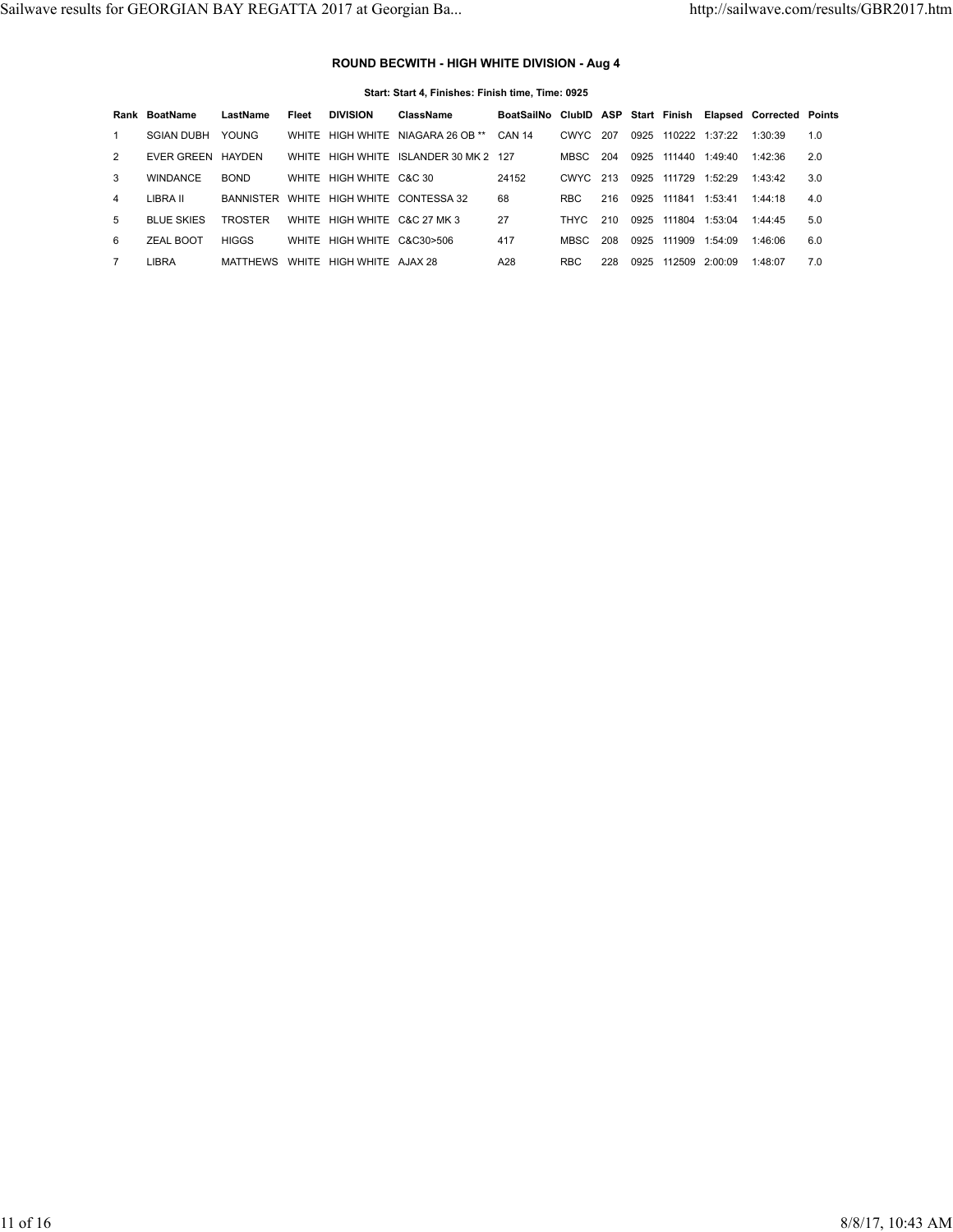## **ROUND BECWITH - HIGH WHITE DIVISION - Aug 4**

|   | Start: Start 4, Finishes: Finish time, Time: 0925 |                 |       |                              |                                       |                                                             |            |     |      |                     |         |         |     |
|---|---------------------------------------------------|-----------------|-------|------------------------------|---------------------------------------|-------------------------------------------------------------|------------|-----|------|---------------------|---------|---------|-----|
|   | Rank BoatName                                     | LastName        | Fleet | <b>DIVISION</b>              | ClassName                             | BoatSailNo ClubID ASP Start Finish Elapsed Corrected Points |            |     |      |                     |         |         |     |
|   | <b>SGIAN DUBH</b>                                 | <b>YOUNG</b>    | WHITE |                              | HIGH WHITE NIAGARA 26 OB **           | <b>CAN 14</b>                                               | CWYC       | 207 | 0925 | 110222 1:37:22      |         | 1:30:39 | 1.0 |
| 2 | EVER GREEN HAYDEN                                 |                 |       |                              | WHITE HIGH WHITE ISLANDER 30 MK 2 127 |                                                             | MBSC       | 204 |      | 0925 111440 1:49:40 |         | 1:42:36 | 2.0 |
| 3 | <b>WINDANCE</b>                                   | <b>BOND</b>     |       | WHITE HIGH WHITE C&C 30      |                                       | 24152                                                       | CWYC 213   |     | 0925 | 111729              | 1:52:29 | 1:43:42 | 3.0 |
| 4 | LIBRA II                                          | BANNISTER       | WHITE |                              | HIGH WHITE CONTESSA 32                | 68                                                          | <b>RBC</b> | 216 | 0925 | 111841              | 1:53:41 | 1:44:18 | 4.0 |
| 5 | <b>BLUE SKIES</b>                                 | TROSTER         |       | WHITE HIGH WHITE C&C 27 MK 3 |                                       | 27                                                          | THYC.      | 210 | 0925 | 111804              | 1:53:04 | 1:44:45 | 5.0 |
| 6 | ZEAL BOOT                                         | <b>HIGGS</b>    | WHITE | HIGH WHITE C&C30>506         |                                       | 417                                                         | MBSC.      | 208 | 0925 | 111909              | 1:54:09 | 1:46:06 | 6.0 |
|   | LIBRA                                             | <b>MATTHEWS</b> | WHITE | HIGH WHITE AJAX 28           |                                       | A28                                                         | <b>RBC</b> | 228 | 0925 | 112509              | 2:00:09 | 1:48:07 | 7.0 |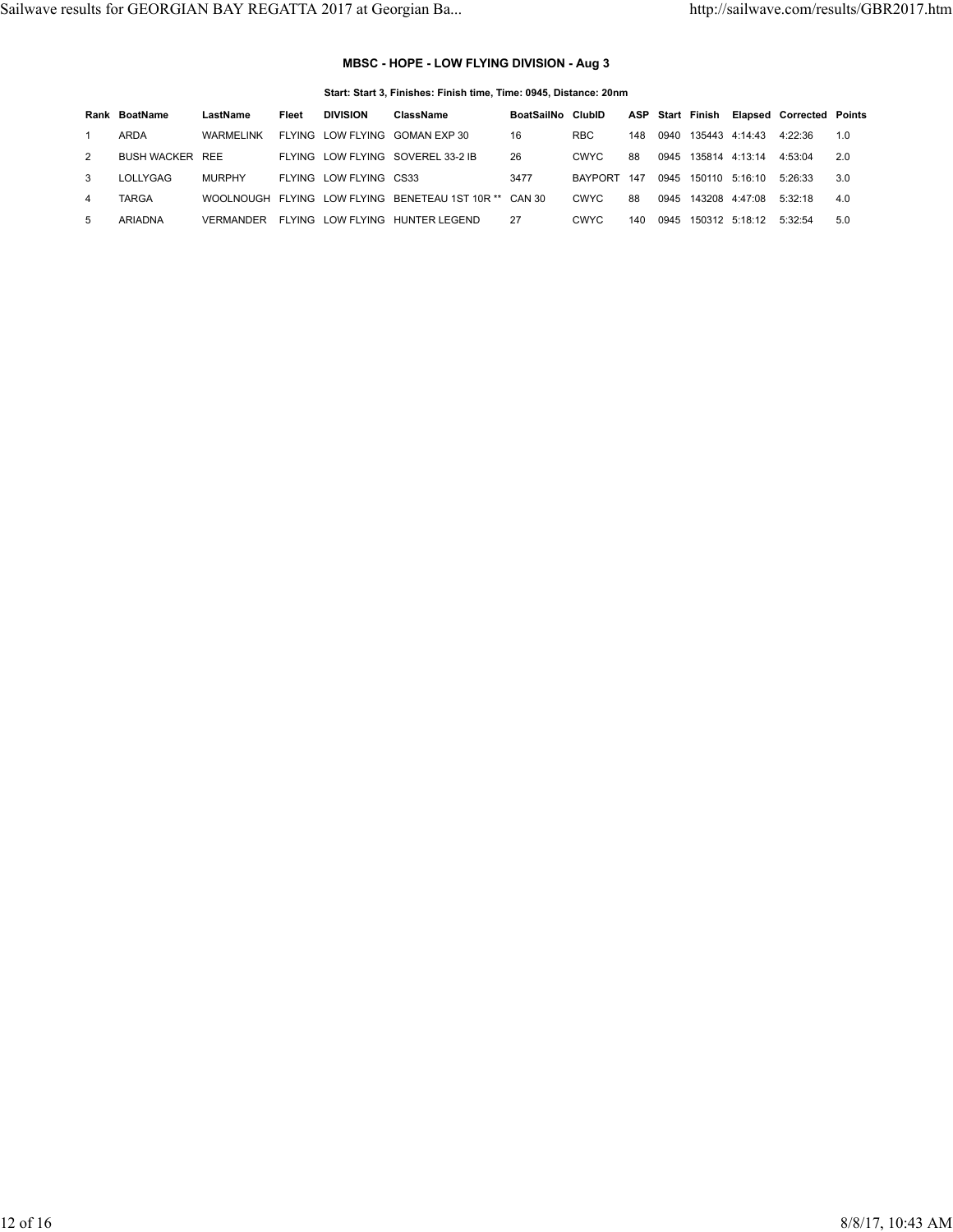## **MBSC - HOPE - LOW FLYING DIVISION - Aug 3**

#### **Start: Start 3, Finishes: Finish time, Time: 0945, Distance: 20nm**

|    | Rank BoatName          | LastName      | Fleet   | <b>DIVISION</b>        | ClassName                                              | BoatSailNo ClubID |                |     |      | ASP Start Finish    |                        | <b>Elapsed Corrected Points</b> |     |
|----|------------------------|---------------|---------|------------------------|--------------------------------------------------------|-------------------|----------------|-----|------|---------------------|------------------------|---------------------------------|-----|
|    | ARDA                   | WARMELINK     |         |                        | FLYING LOW FLYING GOMAN EXP 30                         | 16                | <b>RBC</b>     | 148 | 0940 |                     | 135443 4:14:43 4:22:36 |                                 | 1.0 |
|    | <b>BUSH WACKER REE</b> |               |         |                        | FLYING LOW FLYING SOVEREL 33-2 IB                      | 26                | CWYC.          | 88  | 0945 | 135814 4:13:14      |                        | 4:53:04                         | 2.0 |
| 3  | LOLLYGAG               | <b>MURPHY</b> |         | FLYING LOW FLYING CS33 |                                                        | 3477              | <b>BAYPORT</b> | 147 |      | 0945 150110 5:16:10 |                        | 5.26.33                         | 3.0 |
|    | TARGA                  |               |         |                        | WOOLNOUGH FLYING LOW FLYING BENETEAU 1ST 10R ** CAN 30 |                   | <b>CWYC</b>    | 88  | 0945 |                     | 143208 4:47:08 5:32:18 |                                 | 4.0 |
| 5. | ARIADNA                | VERMANDER     | FI YING |                        | LOW FLYING HUNTER LEGEND                               | 27                | CWYC.          | 140 | 0945 |                     | 150312 5:18:12         | 5.32.54                         | 5.0 |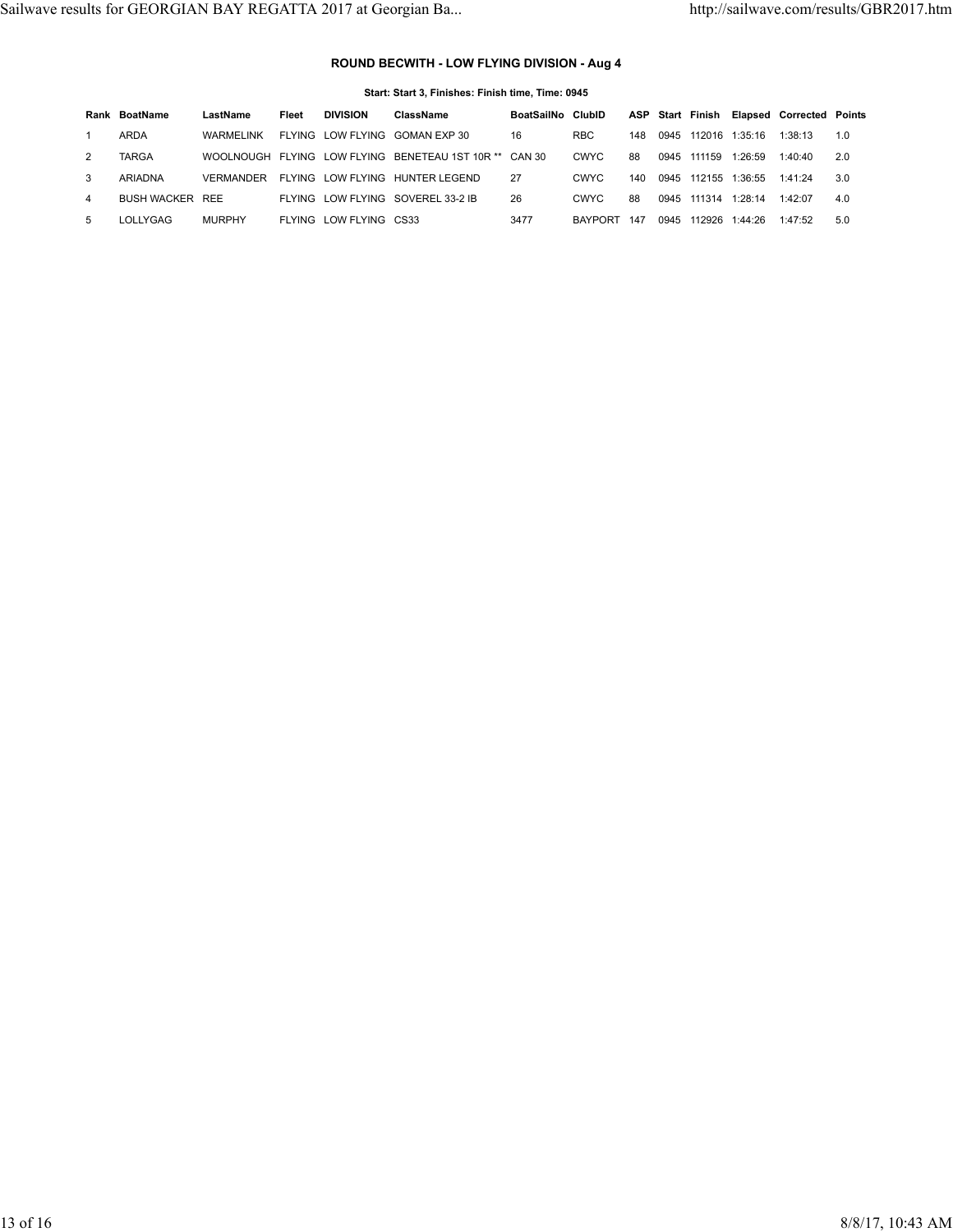## **ROUND BECWITH - LOW FLYING DIVISION - Aug 4**

| Start: Start 3. Finishes: Finish time. Time: 0945 |                    |                  |       |                        |                                       |            |                |     |      |                         |         |                                 |     |
|---------------------------------------------------|--------------------|------------------|-------|------------------------|---------------------------------------|------------|----------------|-----|------|-------------------------|---------|---------------------------------|-----|
|                                                   | Rank BoatName      | LastName         | Fleet | <b>DIVISION</b>        | ClassName                             | BoatSailNo | ClubID         |     |      | <b>ASP Start Finish</b> |         | <b>Elapsed Corrected Points</b> |     |
|                                                   | ARDA               | WARMEL INK       |       | FLYING LOW FLYING      | GOMAN EXP 30                          | 16         | <b>RBC</b>     | 148 | 0945 | 112016                  | 1:35:16 | 1:38:13                         | 1.0 |
| 2                                                 | <b>TARGA</b>       | <b>WOOLNOUGH</b> |       |                        | FLYING LOW FLYING BENETEAU 1ST 10R ** | CAN 30     | <b>CWYC</b>    | 88  | 0945 | 111159                  | 1:26:59 | 1:40:40                         | 2.0 |
| 3                                                 | ARIADNA            | <b>VERMANDER</b> |       | FLYING LOW FLYING      | HUNTER LEGEND                         | 27         | <b>CWYC</b>    | 140 | 0945 | 112155                  | 1:36:55 | 1:41:24                         | 3.0 |
| 4                                                 | <b>BUSH WACKER</b> | REE              |       | FLYING LOW FLYING      | SOVEREL 33-2 IB                       | 26         | <b>CWYC</b>    | 88  | 0945 | 111314                  | 1:28:14 | 1:42:07                         | 4.0 |
| 5                                                 | LOLLYGAG           | <b>MURPHY</b>    |       | FLYING LOW FLYING CS33 |                                       | 3477       | <b>BAYPORT</b> | 147 | 0945 | 112926                  | 1:44:26 | 1:47:52                         | 5.0 |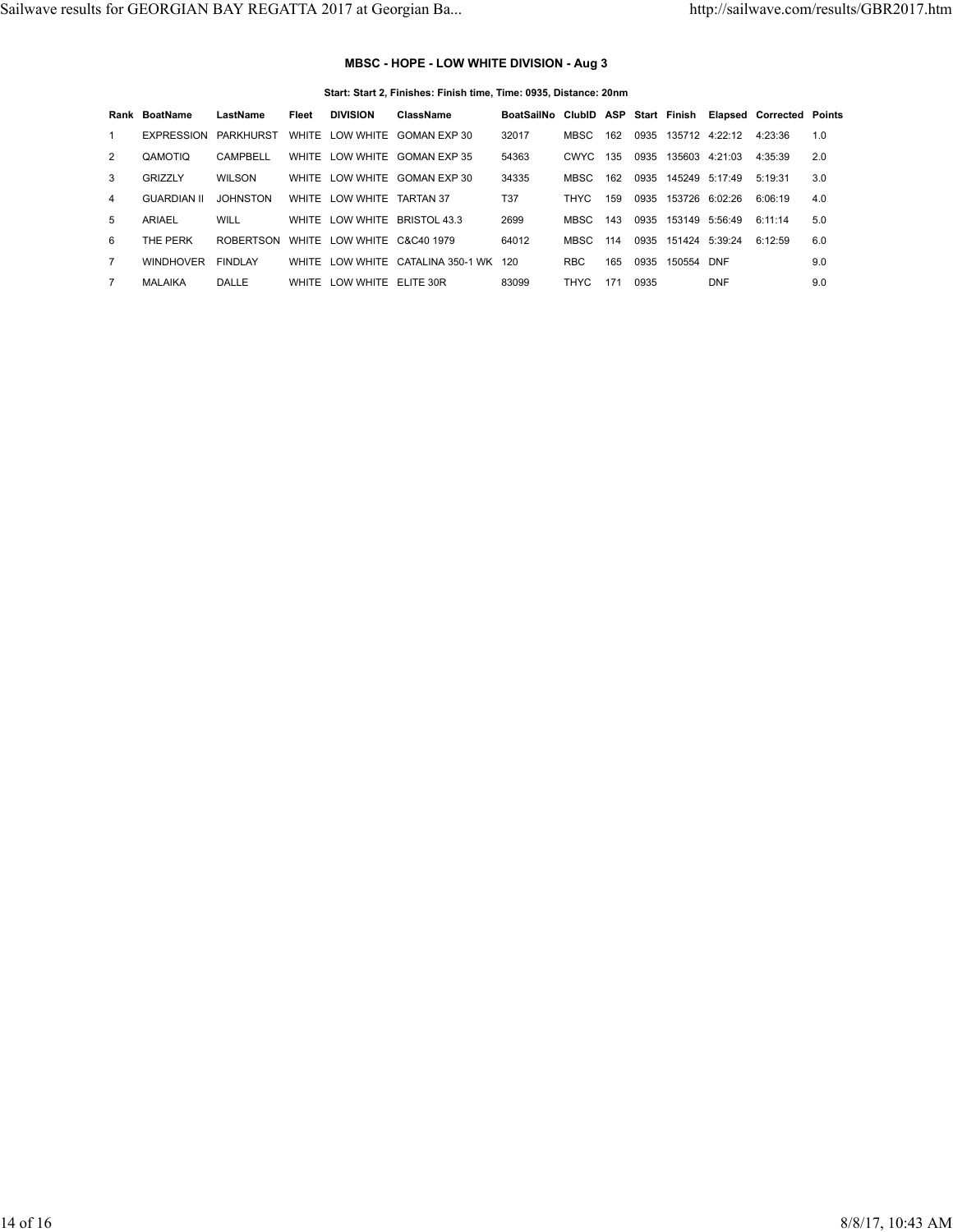# **MBSC - HOPE - LOW WHITE DIVISION - Aug 3**

|  |  |  | Start: Start 2, Finishes: Finish time, Time: 0935, Distance: 20nm |  |
|--|--|--|-------------------------------------------------------------------|--|
|  |  |  |                                                                   |  |

|               | Rank BoatName      | LastName         | Fleet        | <b>DIVISION</b>      | ClassName                       | BoatSailNo ClubID ASP Start Finish Elapsed Corrected Points |            |     |      |                |                     |         |     |
|---------------|--------------------|------------------|--------------|----------------------|---------------------------------|-------------------------------------------------------------|------------|-----|------|----------------|---------------------|---------|-----|
|               | EXPRESSION         | PARKHURST        |              |                      | WHITE LOW WHITE GOMAN EXP 30    | 32017                                                       | MBSC       | 162 | 0935 |                | 135712 4:22:12      | 4:23:36 | 1.0 |
| 2             | QAMOTIO            | CAMPBELL         | WHITE        |                      | LOW WHITE GOMAN EXP 35          | 54363                                                       | CWYC.      | 135 | 0935 |                | 135603 4:21:03      | 4:35:39 | 2.0 |
| $\mathcal{R}$ | <b>GRIZZLY</b>     | WILSON           |              |                      | WHITE LOW WHITE GOMAN EXP 30    | 34335                                                       | MBSC.      | 162 |      |                | 0935 145249 5:17:49 | 5:19:31 | 3.0 |
| 4             | <b>GUARDIAN II</b> | <b>JOHNSTON</b>  | WHITE        | LOW WHITE            | <b>TARTAN 37</b>                | <b>T37</b>                                                  | THYC       | 159 | 0935 |                | 153726 6:02:26      | 6:06:19 | 4.0 |
| 5             | ARIAEL             | WILL             |              |                      | WHITE LOW WHITE BRISTOL 43.3    | 2699                                                        | MBSC.      | 143 | 0935 | 153149 5:56:49 |                     | 6:11:14 | 5.0 |
| 6             | THE PERK           | <b>ROBERTSON</b> | WHITE        | LOW WHITE C&C40 1979 |                                 | 64012                                                       | MBSC       | 114 | 0935 |                | 151424 5:39:24      | 6:12:59 | 6.0 |
|               | <b>WINDHOVER</b>   | <b>FINDLAY</b>   | <b>WHITE</b> |                      | LOW WHITE CATALINA 350-1 WK 120 |                                                             | <b>RBC</b> | 165 | 0935 | 150554 DNF     |                     |         | 9.0 |
| 7             | MALAIKA            | DALLE            | WHITE        | LOW WHITE ELITE 30R  |                                 | 83099                                                       | THYC       | 171 | 0935 |                | <b>DNF</b>          |         | 9.0 |
|               |                    |                  |              |                      |                                 |                                                             |            |     |      |                |                     |         |     |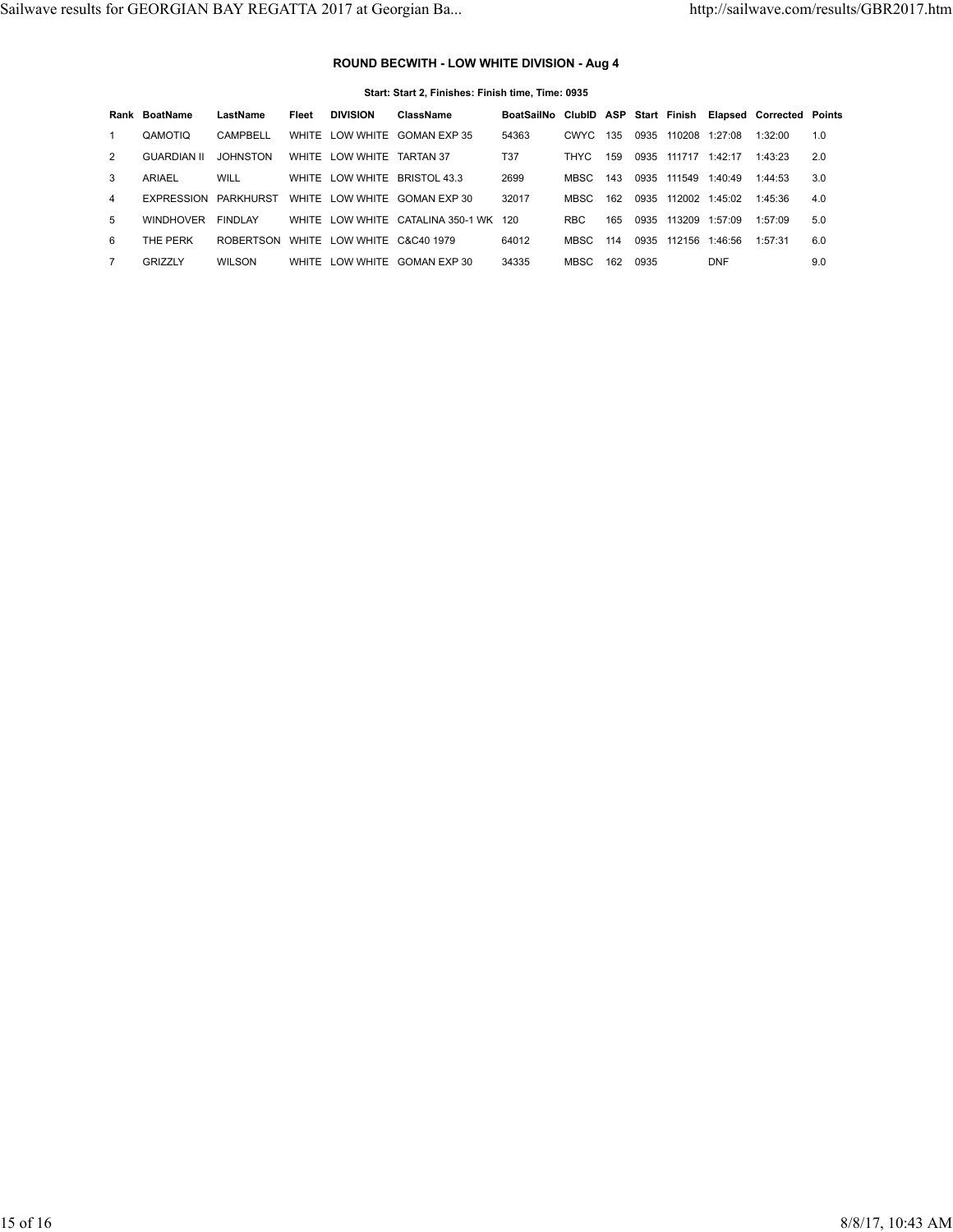## **ROUND BECWITH - LOW WHITE DIVISION - Aug 4**

| Start: Start 2. Finishes: Finish time. Time: 0935 |                    |                  |       |                 |                                       |                                                             |             |     |      |                |            |         |     |
|---------------------------------------------------|--------------------|------------------|-------|-----------------|---------------------------------------|-------------------------------------------------------------|-------------|-----|------|----------------|------------|---------|-----|
|                                                   | Rank BoatName      | LastName         | Fleet | <b>DIVISION</b> | ClassName                             | BoatSailNo ClubID ASP Start Finish Elapsed Corrected Points |             |     |      |                |            |         |     |
|                                                   | QAMOTIO            | CAMPBELL         | WHITE | LOW WHITE       | GOMAN EXP 35                          | 54363                                                       | <b>CWYC</b> | 135 | 0935 | 110208         | 1:27:08    | 1:32:00 | 1.0 |
| 2                                                 | <b>GUARDIAN II</b> | <b>JOHNSTON</b>  | WHITE | LOW WHITE       | <b>TARTAN 37</b>                      | <b>T37</b>                                                  | <b>THYC</b> | 159 | 0935 | 111717         | 1:42:17    | 1:43:23 | 2.0 |
| 3                                                 | ARIAEL             | WILL             | WHITE | LOW WHITE       | BRISTOL 43.3                          | 2699                                                        | <b>MBSC</b> | 143 | 0935 | 111549         | 1:40:49    | 1:44:53 | 3.0 |
| 4                                                 | <b>EXPRESSION</b>  | PARKHURST        |       | WHITE LOW WHITE | GOMAN EXP 30                          | 32017                                                       | <b>MBSC</b> | 162 | 0935 | 112002 1:45:02 |            | 1:45:36 | 4.0 |
| 5                                                 | <b>WINDHOVER</b>   | <b>FINDLAY</b>   |       |                 | WHITE LOW WHITE CATALINA 350-1 WK 120 |                                                             | <b>RBC</b>  | 165 | 0935 | 113209         | 1:57:09    | 1:57:09 | 5.0 |
| 6                                                 | THE PERK           | <b>ROBERTSON</b> |       | WHITE LOW WHITE | C&C40 1979                            | 64012                                                       | MBSC        | 114 | 0935 | 112156         | 1:46:56    | 1:57:31 | 6.0 |
|                                                   | GRIZZLY            | <b>WILSON</b>    |       | WHITE LOW WHITE | GOMAN EXP 30                          | 34335                                                       | MBSC        | 162 | 0935 |                | <b>DNF</b> |         | 9.0 |